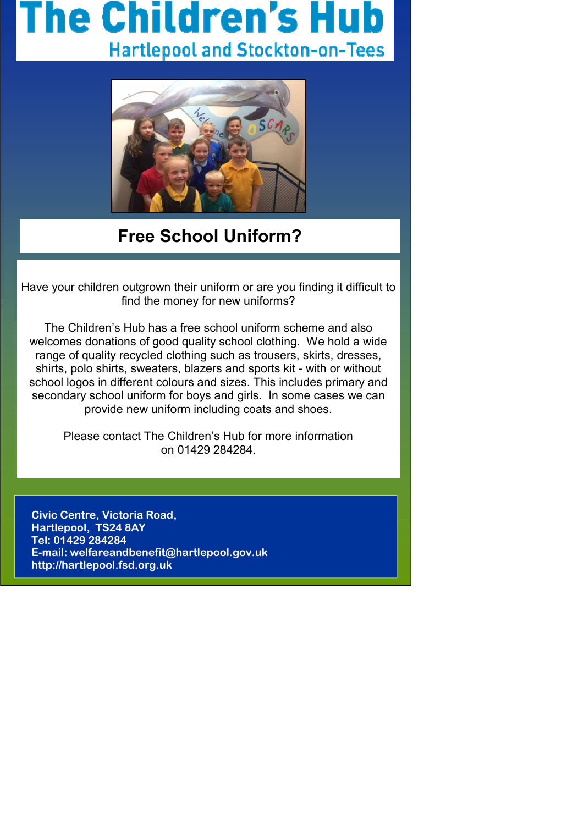## he Children's I **Hartlepool and Stockton-on-Tees**



## **Free School Uniform?**

Have your children outgrown their uniform or are you finding it difficult to find the money for new uniforms?

The Children's Hub has a free school uniform scheme and also welcomes donations of good quality school clothing. We hold a wide range of quality recycled clothing such as trousers, skirts, dresses, shirts, polo shirts, sweaters, blazers and sports kit - with or without school logos in different colours and sizes. This includes primary and secondary school uniform for boys and girls. In some cases we can provide new uniform including coats and shoes.

Please contact The Children's Hub for more information on 01429 284284.

**Civic Centre, Victoria Road, Hartlepool, TS24 8AY Tel: 01429 284284 E-mail: welfareandbenefit@hartlepool.gov.uk http://hartlepool.fsd.org.uk**